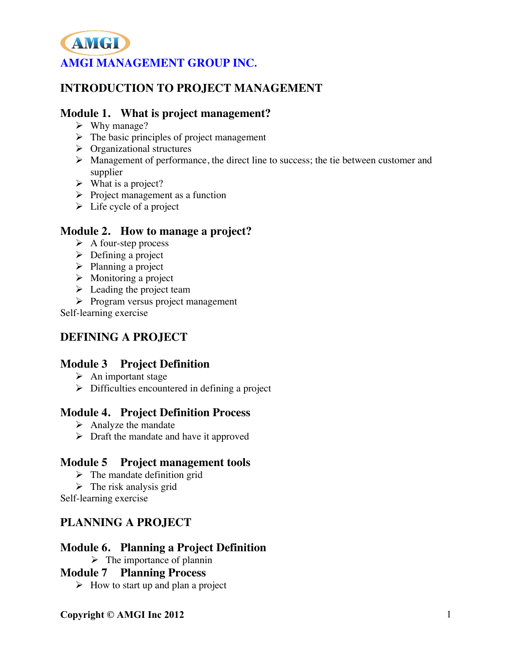# **INTRODUCTION TO PROJECT MANAGEMENT**

### **Module 1. What is project management?**

- $\triangleright$  Why manage?
- $\triangleright$  The basic principles of project management
- $\triangleright$  Organizational structures
- Management of performance, the direct line to success; the tie between customer and supplier
- $\triangleright$  What is a project?
- $\triangleright$  Project management as a function
- $\triangleright$  Life cycle of a project

#### **Module 2. How to manage a project?**

- $\triangleright$  A four-step process
- $\triangleright$  Defining a project
- $\triangleright$  Planning a project
- $\triangleright$  Monitoring a project
- $\triangleright$  Leading the project team
- $\triangleright$  Program versus project management

Self-learning exercise

## **DEFINING A PROJECT**

### **Module 3 Project Definition**

- $\triangleright$  An important stage
- $\triangleright$  Difficulties encountered in defining a project

### **Module 4. Project Definition Process**

- $\triangleright$  Analyze the mandate
- $\triangleright$  Draft the mandate and have it approved

### **Module 5 Project management tools**

- $\triangleright$  The mandate definition grid
- $\triangleright$  The risk analysis grid
- Self-learning exercise

## **PLANNING A PROJECT**

### **Module 6. Planning a Project Definition**

 $\triangleright$  The importance of plannin

### **Module 7 Planning Process**

 $\triangleright$  How to start up and plan a project